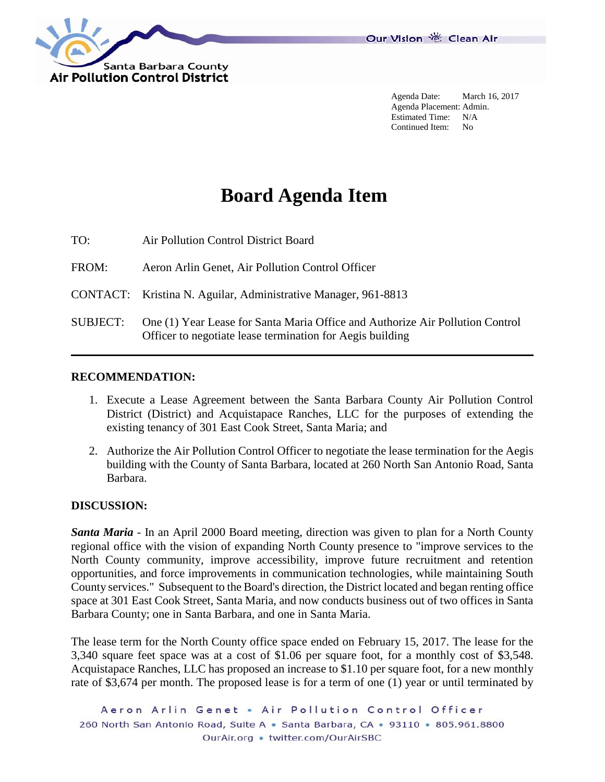

Agenda Date: March 16, 2017 Agenda Placement: Admin. Estimated Time: N/A Continued Item: No

# **Board Agenda Item**

TO: Air Pollution Control District Board

FROM: Aeron Arlin Genet, Air Pollution Control Officer

CONTACT: Kristina N. Aguilar, Administrative Manager, 961-8813

SUBJECT: One (1) Year Lease for Santa Maria Office and Authorize Air Pollution Control Officer to negotiate lease termination for Aegis building

# **RECOMMENDATION:**

- 1. Execute a Lease Agreement between the Santa Barbara County Air Pollution Control District (District) and Acquistapace Ranches, LLC for the purposes of extending the existing tenancy of 301 East Cook Street, Santa Maria; and
- 2. Authorize the Air Pollution Control Officer to negotiate the lease termination for the Aegis building with the County of Santa Barbara, located at 260 North San Antonio Road, Santa Barbara.

# **DISCUSSION:**

*Santa Maria* - In an April 2000 Board meeting, direction was given to plan for a North County regional office with the vision of expanding North County presence to "improve services to the North County community, improve accessibility, improve future recruitment and retention opportunities, and force improvements in communication technologies, while maintaining South County services." Subsequent to the Board's direction, the District located and began renting office space at 301 East Cook Street, Santa Maria, and now conducts business out of two offices in Santa Barbara County; one in Santa Barbara, and one in Santa Maria.

The lease term for the North County office space ended on February 15, 2017. The lease for the 3,340 square feet space was at a cost of \$1.06 per square foot, for a monthly cost of \$3,548. Acquistapace Ranches, LLC has proposed an increase to \$1.10 per square foot, for a new monthly rate of \$3,674 per month. The proposed lease is for a term of one (1) year or until terminated by

Aeron Arlin Genet . Air Pollution Control Officer 260 North San Antonio Road, Suite A · Santa Barbara, CA · 93110 · 805.961.8800 OurAir.org • twitter.com/OurAirSBC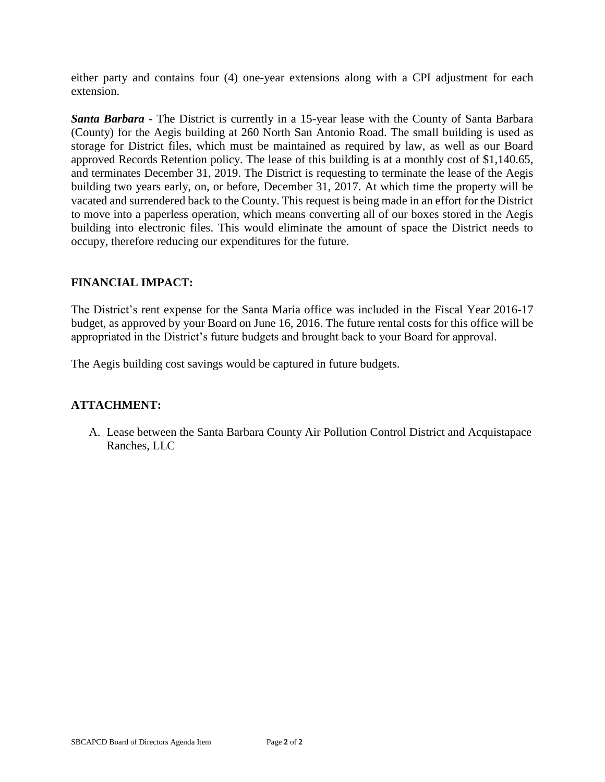either party and contains four (4) one-year extensions along with a CPI adjustment for each extension.

*Santa Barbara* - The District is currently in a 15-year lease with the County of Santa Barbara (County) for the Aegis building at 260 North San Antonio Road. The small building is used as storage for District files, which must be maintained as required by law, as well as our Board approved Records Retention policy. The lease of this building is at a monthly cost of \$1,140.65, and terminates December 31, 2019. The District is requesting to terminate the lease of the Aegis building two years early, on, or before, December 31, 2017. At which time the property will be vacated and surrendered back to the County. This request is being made in an effort for the District to move into a paperless operation, which means converting all of our boxes stored in the Aegis building into electronic files. This would eliminate the amount of space the District needs to occupy, therefore reducing our expenditures for the future.

# **FINANCIAL IMPACT:**

The District's rent expense for the Santa Maria office was included in the Fiscal Year 2016-17 budget, as approved by your Board on June 16, 2016. The future rental costs for this office will be appropriated in the District's future budgets and brought back to your Board for approval.

The Aegis building cost savings would be captured in future budgets.

# **ATTACHMENT:**

A. Lease between the Santa Barbara County Air Pollution Control District and Acquistapace Ranches, LLC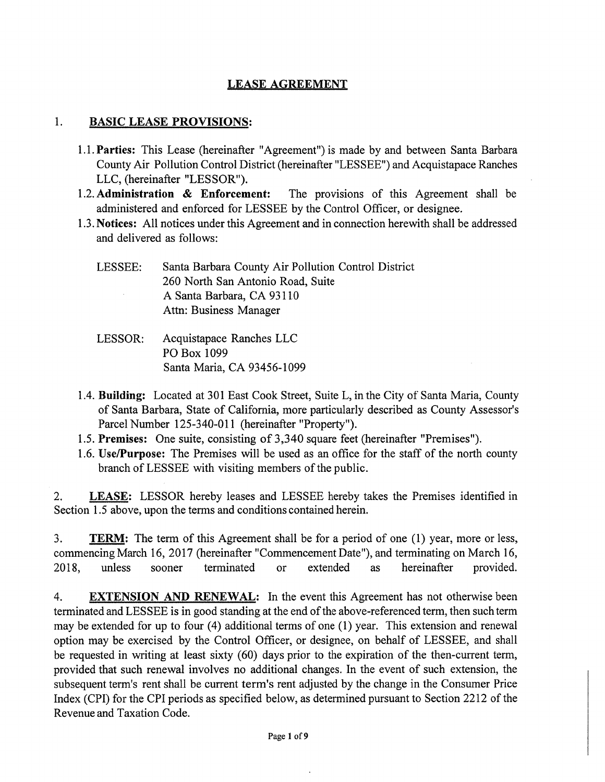# **LEASE AGREEMENT**

#### $1.$ **BASIC LEASE PROVISIONS:**

- 1.1. Parties: This Lease (hereinafter "Agreement") is made by and between Santa Barbara County Air Pollution Control District (hereinafter "LESSEE") and Acquistapace Ranches LLC, (hereinafter "LESSOR").
- 1.2. Administration & Enforcement: The provisions of this Agreement shall be administered and enforced for LESSEE by the Control Officer, or designee.
- 1.3. Notices: All notices under this Agreement and in connection herewith shall be addressed and delivered as follows:

| LESSEE:<br>$\sim$ | Santa Barbara County Air Pollution Control District |
|-------------------|-----------------------------------------------------|
|                   | 260 North San Antonio Road, Suite                   |
|                   | A Santa Barbara, CA 93110                           |
|                   | Attn: Business Manager                              |

- LESSOR: Acquistapace Ranches LLC PO Box 1099 Santa Maria, CA 93456-1099
- 1.4. Building: Located at 301 East Cook Street, Suite L, in the City of Santa Maria, County of Santa Barbara, State of California, more particularly described as County Assessor's Parcel Number 125-340-011 (hereinafter "Property").
- 1.5. Premises: One suite, consisting of 3,340 square feet (hereinafter "Premises").
- 1.6. Use/Purpose: The Premises will be used as an office for the staff of the north county branch of LESSEE with visiting members of the public.

LEASE: LESSOR hereby leases and LESSEE hereby takes the Premises identified in 2. Section 1.5 above, upon the terms and conditions contained herein.

**TERM:** The term of this Agreement shall be for a period of one (1) year, more or less,  $3.$ commencing March 16, 2017 (hereinafter "Commencement Date"), and terminating on March 16, unless terminated hereinafter provided. 2018. sooner extended or as

 $4.$ **EXTENSION AND RENEWAL:** In the event this Agreement has not otherwise been terminated and LESSEE is in good standing at the end of the above-referenced term, then such term may be extended for up to four (4) additional terms of one (1) year. This extension and renewal option may be exercised by the Control Officer, or designee, on behalf of LESSEE, and shall be requested in writing at least sixty (60) days prior to the expiration of the then-current term, provided that such renewal involves no additional changes. In the event of such extension, the subsequent term's rent shall be current term's rent adjusted by the change in the Consumer Price Index (CPI) for the CPI periods as specified below, as determined pursuant to Section 2212 of the Revenue and Taxation Code.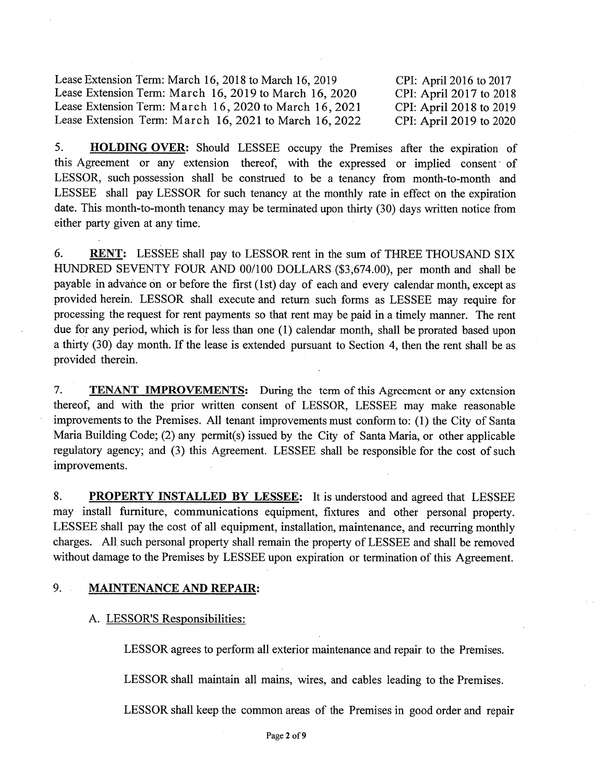Lease Extension Term: March 16, 2018 to March 16, 2019 Lease Extension Term: March 16, 2019 to March 16, 2020 Lease Extension Term: March 16, 2020 to March 16, 2021 Lease Extension Term: March 16, 2021 to March 16, 2022 CPI: April 2016 to 2017 CPI: April 2017 to 2018 CPI: April 2018 to 2019 CPI: April 2019 to 2020

5. HOLDING OVER: Should LESSEE occupy the Premises after the expiration of this Agreement or any extension thereof, with the expressed or implied consent of LESSOR, such possession shall be construed to be a tenancy from month-to-month and LESSEE shall pay LESSOR for such tenancy at the monthly rate in effect on the expiration date. This month-to-month tenancy may be terminated upon thirty (30) days written notice from either party given at any time.

6. **RENT:** LESSEE shall pay to LESSOR rent in the sum of THREE THOUSAND SIX HUNDRED SEVENTY FOUR AND 00/100 DOLLARS (\$3,674.00), per month and shall be payable in advance on or before the first (1st) day of each and every calendar month, except as provided herein. LESSOR shall execute and return such forms as LESSEE may require for processing the request for rent payments so that rent may be paid in a timely manner. The rent due for any period, which is for less than one (1) calendar month, shall be prorated based upon a thirty (30) day month. If the lease is extended pursuant to Section 4, then the rent shall be as provided therein.

7. **TENANT IMPROVEMENTS:** During the term of this Agreement or any extension thereof, and with the prior written consent of LESSOR, LESSEE may make reasonable improvements to the Premises. All tenant improvements must conform to: (1) the City of Santa Maria Building Code; (2) any permit(s) issued by the City of Santa Maria, or other applicable regulatory agency; and (3) this Agreement. LESSEE shall be responsible for the cost of such improvements.

8. PROPERTY INSTALLED BY LESSEE: It is understood and agreed that LESSEE may install furniture, communications equipment, fixtures and other personal property. LESSEE shall pay the cost of all equipment, installation, maintenance, and recurring monthly charges. All such personal property shall remain the property of LESSEE and shall be removed without damage to the Premises by LESSEE upon expiration or termination of this Agreement.

#### $9.$ **MAINTENANCE AND REPAIR:**

# A. LESSOR'S Responsibilities:

LESSOR agrees to perform all exterior maintenance and repair to the Premises.

LESSOR shall maintain all mains, wires, and cables leading to the Premises.

LESSOR shall keep the common areas of the Premises in good order and repair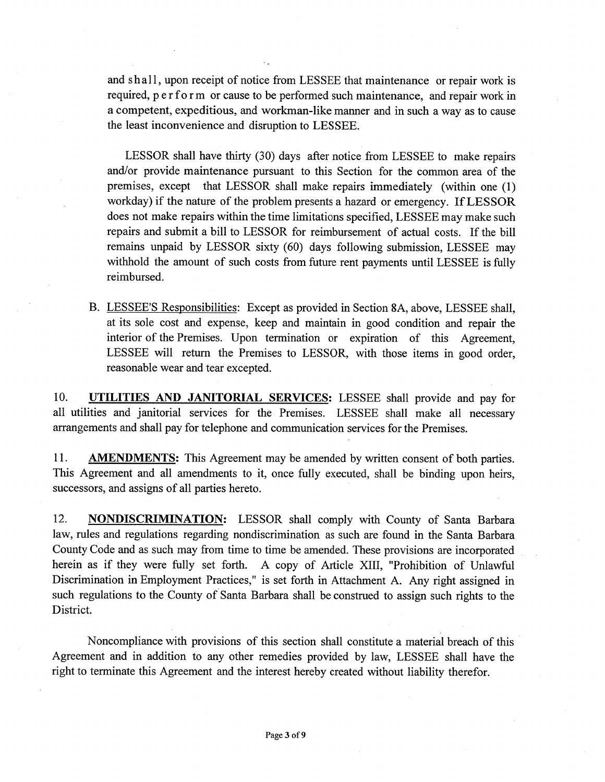and shall, upon receipt of notice from LESSEE that maintenance or repair work is required, perform or cause to be performed such maintenance, and repair work in a competent, expeditious, and workman-like manner and in such a way as to cause the least inconvenience and disruption to LESSEE.

LESSOR shall have thirty (30) days after notice from LESSEE to make repairs and/or provide maintenance pursuant to this Section for the common area of the premises, except that LESSOR shall make repairs immediately (within one (1) workday) if the nature of the problem presents a hazard or emergency. If LESSOR does not make repairs within the time limitations specified, LESSEE may make such repairs and submit a bill to LESSOR for reimbursement of actual costs. If the bill remains unpaid by LESSOR sixty (60) days following submission, LESSEE may withhold the amount of such costs from future rent payments until LESSEE is fully reimbursed.

B. LESSEE'S Responsibilities: Except as provided in Section 8A, above, LESSEE shall, at its sole cost and expense, keep and maintain in good condition and repair the interior of the Premises. Upon termination or expiration of this Agreement, LESSEE will return the Premises to LESSOR, with those items in good order, reasonable wear and tear excepted.

10. UTILITIES AND JANITORIAL SERVICES: LESSEE shall provide and pay for all utilities and janitorial services for the Premises. LESSEE shall make all necessary arrangements and shall pay for telephone and communication services for the Premises.

**AMENDMENTS:** This Agreement may be amended by written consent of both parties. 11. This Agreement and all amendments to it, once fully executed, shall be binding upon heirs, successors, and assigns of all parties hereto.

 $12.$ **NONDISCRIMINATION:** LESSOR shall comply with County of Santa Barbara law, rules and regulations regarding nondiscrimination as such are found in the Santa Barbara County Code and as such may from time to time be amended. These provisions are incorporated herein as if they were fully set forth. A copy of Article XIII, "Prohibition of Unlawful Discrimination in Employment Practices," is set forth in Attachment A. Any right assigned in such regulations to the County of Santa Barbara shall be construed to assign such rights to the District.

Noncompliance with provisions of this section shall constitute a material breach of this Agreement and in addition to any other remedies provided by law, LESSEE shall have the right to terminate this Agreement and the interest hereby created without liability therefor.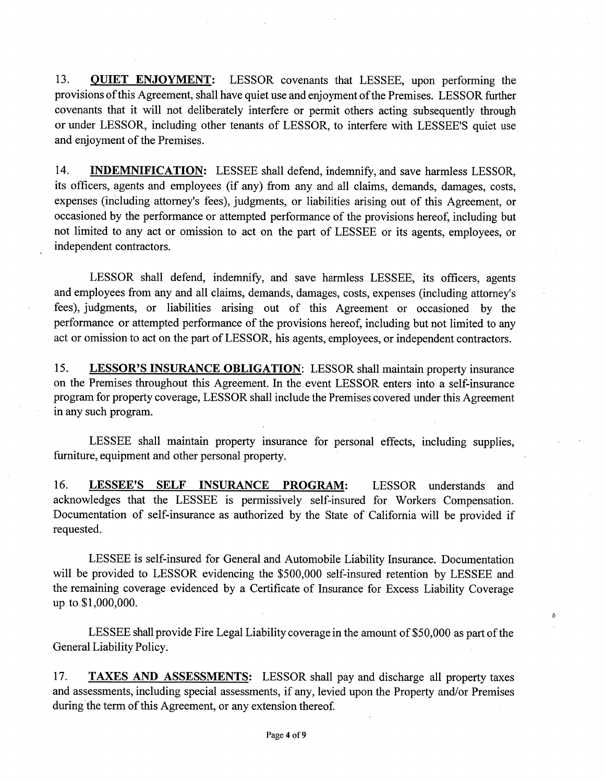13. **QUIET ENJOYMENT:** LESSOR covenants that LESSEE, upon performing the provisions of this Agreement, shall have quiet use and enjoyment of the Premises. LESSOR further covenants that it will not deliberately interfere or permit others acting subsequently through or under LESSOR, including other tenants of LESSOR, to interfere with LESSEE'S quiet use and enjoyment of the Premises.

**INDEMNIFICATION:** LESSEE shall defend, indemnify, and save harmless LESSOR,  $14.$ its officers, agents and employees (if any) from any and all claims, demands, damages, costs, expenses (including attorney's fees), judgments, or liabilities arising out of this Agreement, or occasioned by the performance or attempted performance of the provisions hereof, including but not limited to any act or omission to act on the part of LESSEE or its agents, employees, or independent contractors.

LESSOR shall defend, indemnify, and save harmless LESSEE, its officers, agents and employees from any and all claims, demands, damages, costs, expenses (including attorney's fees), judgments, or liabilities arising out of this Agreement or occasioned by the performance or attempted performance of the provisions hereof, including but not limited to any act or omission to act on the part of LESSOR, his agents, employees, or independent contractors.

15. **LESSOR'S INSURANCE OBLIGATION:** LESSOR shall maintain property insurance on the Premises throughout this Agreement. In the event LESSOR enters into a self-insurance program for property coverage, LESSOR shall include the Premises covered under this Agreement in any such program.

LESSEE shall maintain property insurance for personal effects, including supplies, furniture, equipment and other personal property.

16. LESSEE'S SELF INSURANCE PROGRAM: LESSOR understands and acknowledges that the LESSEE is permissively self-insured for Workers Compensation. Documentation of self-insurance as authorized by the State of California will be provided if requested.

LESSEE is self-insured for General and Automobile Liability Insurance. Documentation will be provided to LESSOR evidencing the \$500,000 self-insured retention by LESSEE and the remaining coverage evidenced by a Certificate of Insurance for Excess Liability Coverage up to \$1,000,000.

LESSEE shall provide Fire Legal Liability coverage in the amount of \$50,000 as part of the General Liability Policy.

ğ,

17. **TAXES AND ASSESSMENTS:** LESSOR shall pay and discharge all property taxes and assessments, including special assessments, if any, levied upon the Property and/or Premises during the term of this Agreement, or any extension thereof.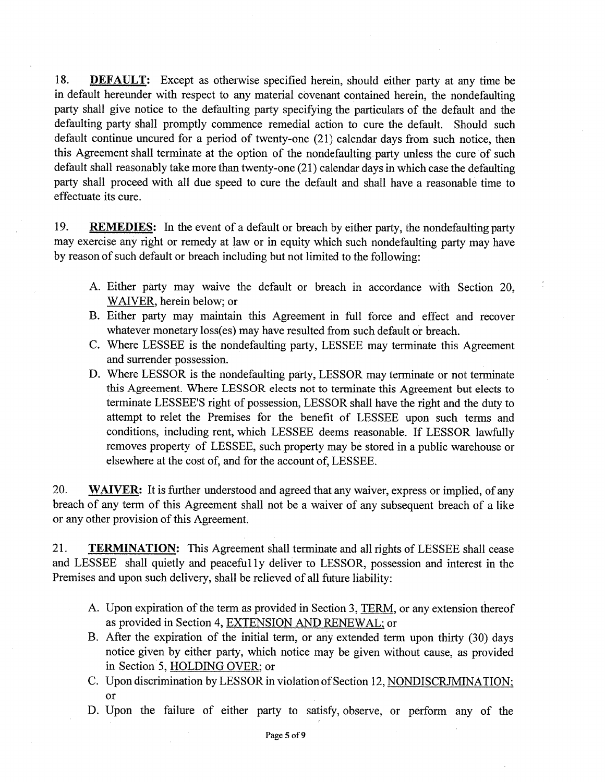18. **DEFAULT:** Except as otherwise specified herein, should either party at any time be in default hereunder with respect to any material covenant contained herein, the nondefaulting party shall give notice to the defaulting party specifying the particulars of the default and the defaulting party shall promptly commence remedial action to cure the default. Should such default continue uncured for a period of twenty-one (21) calendar days from such notice, then this Agreement shall terminate at the option of the nondefaulting party unless the cure of such default shall reasonably take more than twenty-one (21) calendar days in which case the defaulting party shall proceed with all due speed to cure the default and shall have a reasonable time to effectuate its cure.

19. **REMEDIES:** In the event of a default or breach by either party, the nondefaulting party may exercise any right or remedy at law or in equity which such nondefaulting party may have by reason of such default or breach including but not limited to the following:

- A. Either party may waive the default or breach in accordance with Section 20, WAIVER, herein below; or
- B. Either party may maintain this Agreement in full force and effect and recover whatever monetary loss(es) may have resulted from such default or breach.
- C. Where LESSEE is the nondefaulting party, LESSEE may terminate this Agreement and surrender possession.
- D. Where LESSOR is the nondefaulting party, LESSOR may terminate or not terminate this Agreement. Where LESSOR elects not to terminate this Agreement but elects to terminate LESSEE'S right of possession, LESSOR shall have the right and the duty to attempt to relet the Premises for the benefit of LESSEE upon such terms and conditions, including rent, which LESSEE deems reasonable. If LESSOR lawfully removes property of LESSEE, such property may be stored in a public warehouse or elsewhere at the cost of, and for the account of, LESSEE.

20. **WAIVER:** It is further understood and agreed that any waiver, express or implied, of any breach of any term of this Agreement shall not be a waiver of any subsequent breach of a like or any other provision of this Agreement.

21. **TERMINATION:** This Agreement shall terminate and all rights of LESSEE shall cease and LESSEE shall quietly and peacefully deliver to LESSOR, possession and interest in the Premises and upon such delivery, shall be relieved of all future liability:

- A. Upon expiration of the term as provided in Section 3, TERM, or any extension thereof as provided in Section 4, EXTENSION AND RENEWAL; or
- B. After the expiration of the initial term, or any extended term upon thirty (30) days notice given by either party, which notice may be given without cause, as provided in Section 5, HOLDING OVER; or
- C. Upon discrimination by LESSOR in violation of Section 12, NONDISCRJMINATION; or
- D. Upon the failure of either party to satisfy, observe, or perform any of the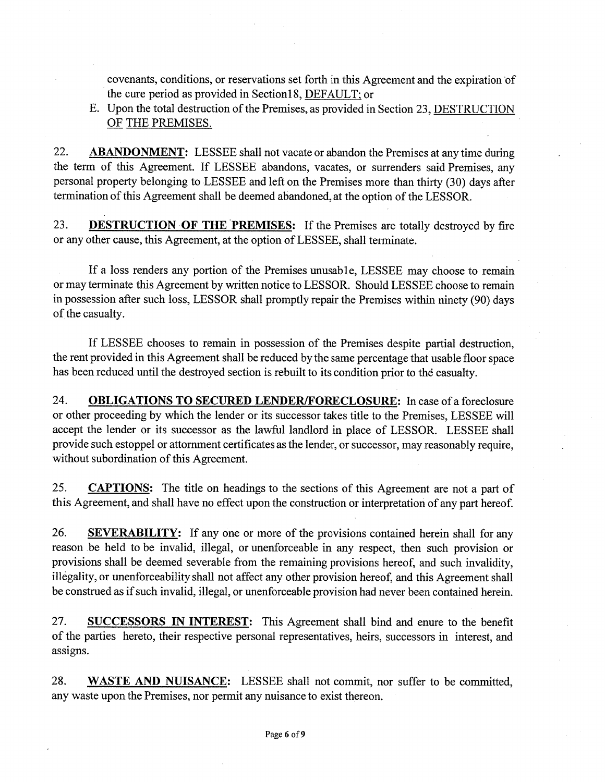covenants, conditions, or reservations set forth in this Agreement and the expiration of the cure period as provided in Section18, DEFAULT; or

E. Upon the total destruction of the Premises, as provided in Section 23, DESTRUCTION OF THE PREMISES.

22. **ABANDONMENT:** LESSEE shall not vacate or abandon the Premises at any time during the term of this Agreement. If LESSEE abandons, vacates, or surrenders said Premises, any personal property belonging to LESSEE and left on the Premises more than thirty (30) days after termination of this Agreement shall be deemed abandoned, at the option of the LESSOR.

23. **DESTRUCTION OF THE PREMISES:** If the Premises are totally destroyed by fire or any other cause, this Agreement, at the option of LESSEE, shall terminate.

If a loss renders any portion of the Premises unusable, LESSEE may choose to remain or may terminate this Agreement by written notice to LESSOR. Should LESSEE choose to remain in possession after such loss, LESSOR shall promptly repair the Premises within ninety (90) days of the casualty.

If LESSEE chooses to remain in possession of the Premises despite partial destruction, the rent provided in this Agreement shall be reduced by the same percentage that usable floor space has been reduced until the destroyed section is rebuilt to its condition prior to the casualty.

24. **OBLIGATIONS TO SECURED LENDER/FORECLOSURE:** In case of a foreclosure or other proceeding by which the lender or its successor takes title to the Premises, LESSEE will accept the lender or its successor as the lawful landlord in place of LESSOR. LESSEE shall provide such estoppel or attornment certificates as the lender, or successor, may reasonably require, without subordination of this Agreement.

25. **CAPTIONS:** The title on headings to the sections of this Agreement are not a part of this Agreement, and shall have no effect upon the construction or interpretation of any part hereof.

26. **SEVERABILITY:** If any one or more of the provisions contained herein shall for any reason be held to be invalid, illegal, or unenforceable in any respect, then such provision or provisions shall be deemed severable from the remaining provisions hereof, and such invalidity, illegality, or unenforceability shall not affect any other provision hereof, and this Agreement shall be construed as if such invalid, illegal, or unenforceable provision had never been contained herein.

27. **SUCCESSORS IN INTEREST:** This Agreement shall bind and enure to the benefit of the parties hereto, their respective personal representatives, heirs, successors in interest, and assigns.

28. **WASTE AND NUISANCE:** LESSEE shall not commit, nor suffer to be committed, any waste upon the Premises, nor permit any nuisance to exist thereon.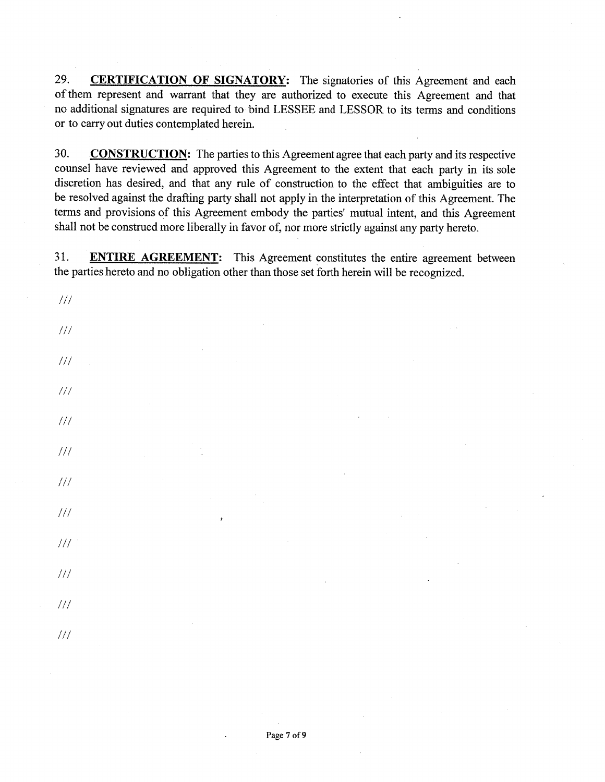29. **CERTIFICATION OF SIGNATORY:** The signatories of this Agreement and each of them represent and warrant that they are authorized to execute this Agreement and that no additional signatures are required to bind LESSEE and LESSOR to its terms and conditions or to carry out duties contemplated herein.

30. **CONSTRUCTION:** The parties to this Agreement agree that each party and its respective counsel have reviewed and approved this Agreement to the extent that each party in its sole discretion has desired, and that any rule of construction to the effect that ambiguities are to be resolved against the drafting party shall not apply in the interpretation of this Agreement. The terms and provisions of this Agreement embody the parties' mutual intent, and this Agreement shall not be construed more liberally in favor of, nor more strictly against any party hereto.

31. **ENTIRE AGREEMENT:** This Agreement constitutes the entire agreement between the parties hereto and no obligation other than those set forth herein will be recognized.

 $111$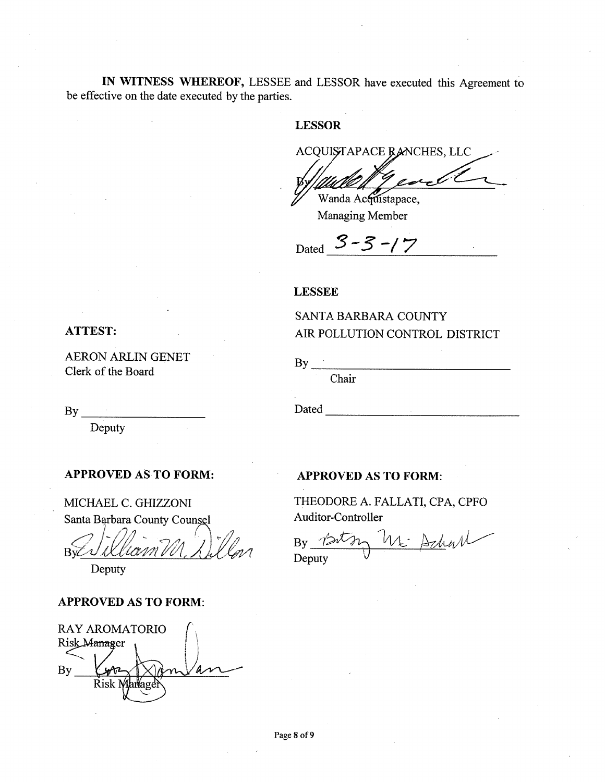IN WITNESS WHEREOF, LESSEE and LESSOR have executed this Agreement to be effective on the date executed by the parties.

# **LESSOR**

ACQUISTAPACE RANCHES, LLC

Wanda Accustapace, Managing Member

SANTA BARBARA COUNTY

Dated  $3 - 3 - 17$ 

AIR POLLUTION CONTROL DISTRICT

#### **LESSEE**

 $By$  —

Chair

### **ATTEST:**

**AERON ARLIN GENET** Clerk of the Board

Deputy

## **APPROVED AS TO FORM:**

MICHAEL C. GHIZZONI Santa Barbara County Counsel

 $Bv\mathcal{C}$ ' IXII

Deputy

### **APPROVED AS TO FORM:**

**RAY AROMATORIO** Risk Manager  $\mathbf{B}\mathbf{v}$ Risk N

#### **APPROVED AS TO FORM:**

Dated and the state of the state of the state of the state of the state of the state of the state of the state of the state of the state of the state of the state of the state of the state of the state of the state of the

THEODORE A. FALLATI, CPA, CPFO Auditor-Controller

M Achar  $Bv \nightharpoonup \mathcal{D}$ Deputy